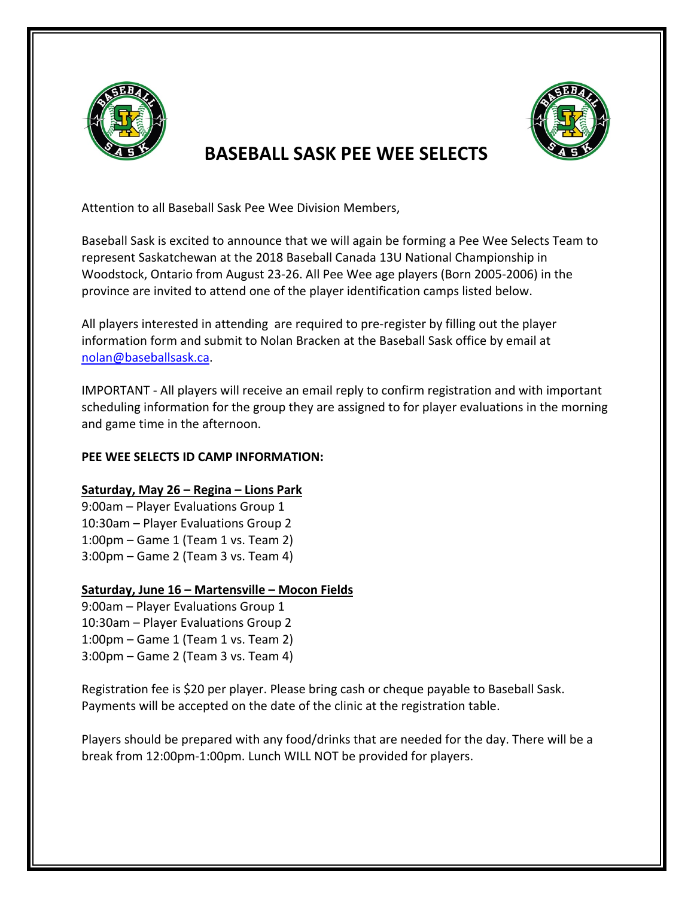

## **BASEBALL SASK PFF WFF SFLECTS**



Baseball Sask is excited to announce that we will again be forming a Pee Wee Selects Team to represent Saskatchewan at the 2018 Baseball Canada 13U National Championship in Woodstock, Ontario from August 23-26. All Pee Wee age players (Born 2005-2006) in the province are invited to attend one of the player identification camps listed below.

All players interested in attending are required to pre-register by filling out the player information form and submit to Nolan Bracken at the Baseball Sask office by email at nolan@baseballsask.ca. 

IMPORTANT - All players will receive an email reply to confirm registration and with important scheduling information for the group they are assigned to for player evaluations in the morning and game time in the afternoon.

## **PEE WEE SELECTS ID CAMP INFORMATION:**

## **Saturday, May 26 – Regina – Lions Park**

9:00am - Player Evaluations Group 1 10:30am - Player Evaluations Group 2  $1:00$ pm – Game  $1$  (Team  $1$  vs. Team  $2)$ )  $3:00$ pm – Game 2 (Team 3 vs. Team 4)

## **Saturday, June 16 – Martensville – Mocon Fields**

9:00am – Player Evaluations Group 1 10:30am - Player Evaluations Group 2  $1:00$ pm – Game  $1$  (Team  $1$  vs. Team  $2)$ )  $3:00$ pm – Game 2 (Team 3 vs. Team 4)

Registration fee is \$20 per player. Please bring cash or cheque payable to Baseball Sask. Payments will be accepted on the date of the clinic at the registration table.

Players should be prepared with any food/drinks that are needed for the day. There will be a break from 12:00pm-1:00pm. Lunch WILL NOT be provided for players.